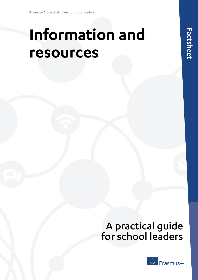# **Information and resources**

## A practical guide for school leaders

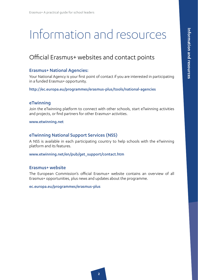# Information and resources

### Official Erasmus+ websites and contact points

#### Erasmus+ National Agencies:

Your National Agency is your first point of contact if you are interested in participating in a funded Erasmus+ opportunity.

http://ec.europa.eu/programmes/erasmus-plus/tools/national-agencies

#### eTwinning

Join the eTwinning platform to connect with other schools, start eTwinning activities and projects, or find partners for other Erasmus+ activities.

www.etwinning.net

#### eTwinning National Support Services (NSS)

A NSS is available in each participating country to help schools with the eTwinning platform and its features.

www.etwinning.net/en/pub/get\_support/contact.htm

#### Erasmus+ website

The European Commission's official Erasmus+ website contains an overview of all Erasmus+ opportunities, plus news and updates about the programme.

[ec.europa.eu/programmes/erasmus-plus](http://ec.europa.eu/programmes/erasmus-plus)